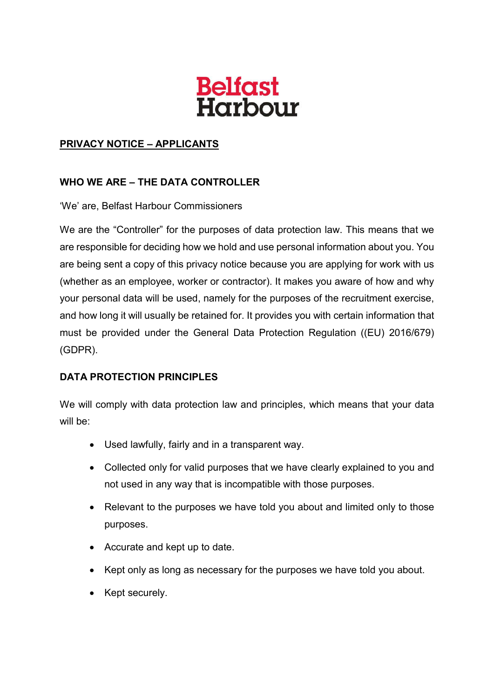

## **PRIVACY NOTICE – APPLICANTS**

## **WHO WE ARE – THE DATA CONTROLLER**

'We' are, Belfast Harbour Commissioners

We are the "Controller" for the purposes of data protection law. This means that we are responsible for deciding how we hold and use personal information about you. You are being sent a copy of this privacy notice because you are applying for work with us (whether as an employee, worker or contractor). It makes you aware of how and why your personal data will be used, namely for the purposes of the recruitment exercise, and how long it will usually be retained for. It provides you with certain information that must be provided under the General Data Protection Regulation ((EU) 2016/679) (GDPR).

## **DATA PROTECTION PRINCIPLES**

We will comply with data protection law and principles, which means that your data will be:

- Used lawfully, fairly and in a transparent way.
- Collected only for valid purposes that we have clearly explained to you and not used in any way that is incompatible with those purposes.
- Relevant to the purposes we have told you about and limited only to those purposes.
- Accurate and kept up to date.
- Kept only as long as necessary for the purposes we have told you about.
- Kept securely.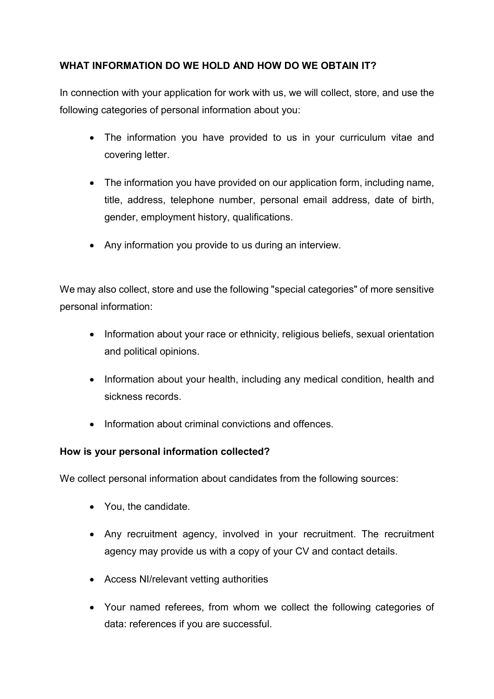## **WHAT INFORMATION DO WE HOLD AND HOW DO WE OBTAIN IT?**

In connection with your application for work with us, we will collect, store, and use the following categories of personal information about you:

- The information you have provided to us in your curriculum vitae and covering letter.
- The information you have provided on our application form, including name, title, address, telephone number, personal email address, date of birth, gender, employment history, qualifications.
- Any information you provide to us during an interview.

We may also collect, store and use the following "special categories" of more sensitive personal information:

- Information about your race or ethnicity, religious beliefs, sexual orientation and political opinions.
- Information about your health, including any medical condition, health and sickness records.
- Information about criminal convictions and offences.

## **How is your personal information collected?**

We collect personal information about candidates from the following sources:

- You, the candidate.
- Any recruitment agency, involved in your recruitment. The recruitment agency may provide us with a copy of your CV and contact details.
- Access NI/relevant vetting authorities
- Your named referees, from whom we collect the following categories of data: references if you are successful.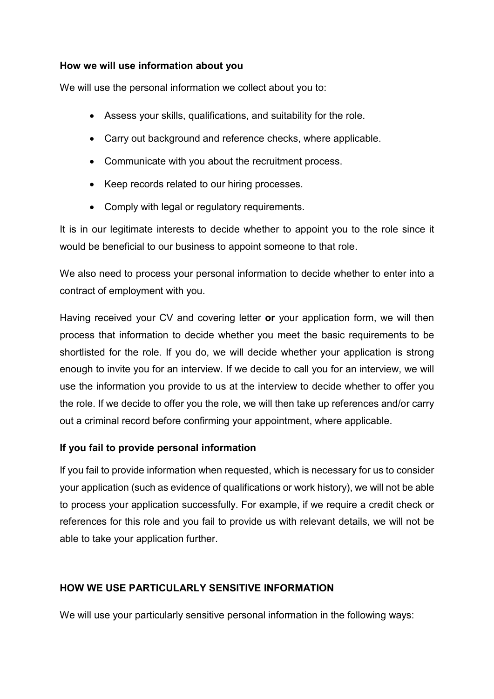## **How we will use information about you**

We will use the personal information we collect about you to:

- Assess your skills, qualifications, and suitability for the role.
- Carry out background and reference checks, where applicable.
- Communicate with you about the recruitment process.
- Keep records related to our hiring processes.
- Comply with legal or regulatory requirements.

It is in our legitimate interests to decide whether to appoint you to the role since it would be beneficial to our business to appoint someone to that role.

We also need to process your personal information to decide whether to enter into a contract of employment with you.

Having received your CV and covering letter **or** your application form, we will then process that information to decide whether you meet the basic requirements to be shortlisted for the role. If you do, we will decide whether your application is strong enough to invite you for an interview. If we decide to call you for an interview, we will use the information you provide to us at the interview to decide whether to offer you the role. If we decide to offer you the role, we will then take up references and/or carry out a criminal record before confirming your appointment, where applicable.

## **If you fail to provide personal information**

If you fail to provide information when requested, which is necessary for us to consider your application (such as evidence of qualifications or work history), we will not be able to process your application successfully. For example, if we require a credit check or references for this role and you fail to provide us with relevant details, we will not be able to take your application further.

## **HOW WE USE PARTICULARLY SENSITIVE INFORMATION**

We will use your particularly sensitive personal information in the following ways: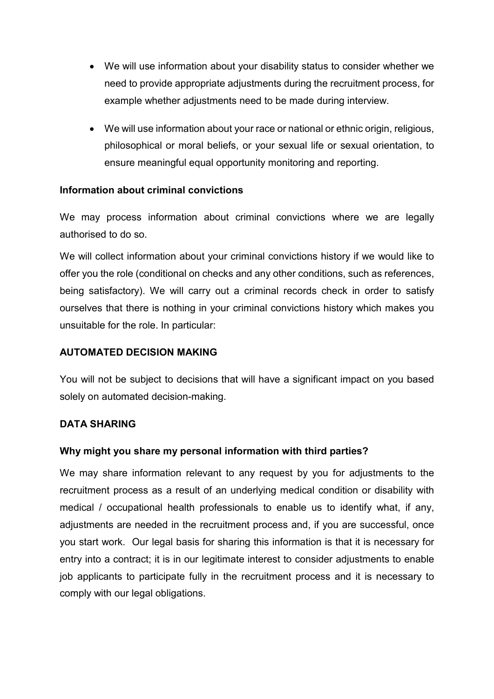- We will use information about your disability status to consider whether we need to provide appropriate adjustments during the recruitment process, for example whether adjustments need to be made during interview.
- We will use information about your race or national or ethnic origin, religious, philosophical or moral beliefs, or your sexual life or sexual orientation, to ensure meaningful equal opportunity monitoring and reporting.

## **Information about criminal convictions**

We may process information about criminal convictions where we are legally authorised to do so.

We will collect information about your criminal convictions history if we would like to offer you the role (conditional on checks and any other conditions, such as references, being satisfactory). We will carry out a criminal records check in order to satisfy ourselves that there is nothing in your criminal convictions history which makes you unsuitable for the role. In particular:

#### **AUTOMATED DECISION MAKING**

You will not be subject to decisions that will have a significant impact on you based solely on automated decision-making.

## **DATA SHARING**

## **Why might you share my personal information with third parties?**

We may share information relevant to any request by you for adjustments to the recruitment process as a result of an underlying medical condition or disability with medical / occupational health professionals to enable us to identify what, if any, adjustments are needed in the recruitment process and, if you are successful, once you start work. Our legal basis for sharing this information is that it is necessary for entry into a contract; it is in our legitimate interest to consider adjustments to enable job applicants to participate fully in the recruitment process and it is necessary to comply with our legal obligations.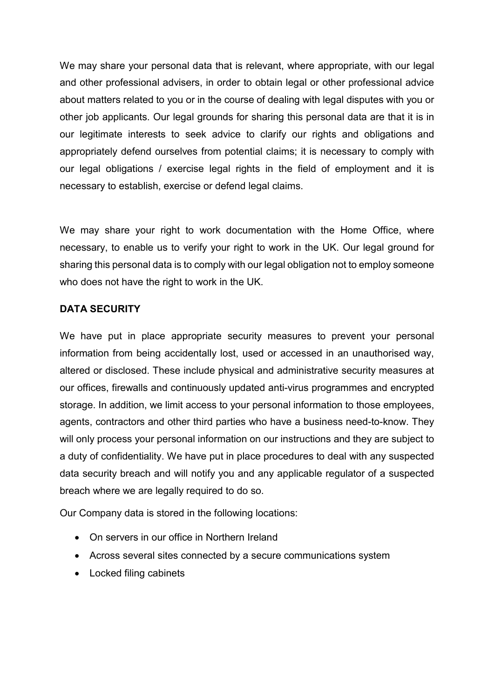We may share your personal data that is relevant, where appropriate, with our legal and other professional advisers, in order to obtain legal or other professional advice about matters related to you or in the course of dealing with legal disputes with you or other job applicants. Our legal grounds for sharing this personal data are that it is in our legitimate interests to seek advice to clarify our rights and obligations and appropriately defend ourselves from potential claims; it is necessary to comply with our legal obligations / exercise legal rights in the field of employment and it is necessary to establish, exercise or defend legal claims.

We may share your right to work documentation with the Home Office, where necessary, to enable us to verify your right to work in the UK. Our legal ground for sharing this personal data is to comply with our legal obligation not to employ someone who does not have the right to work in the UK.

## **DATA SECURITY**

We have put in place appropriate security measures to prevent your personal information from being accidentally lost, used or accessed in an unauthorised way, altered or disclosed. These include physical and administrative security measures at our offices, firewalls and continuously updated anti-virus programmes and encrypted storage. In addition, we limit access to your personal information to those employees, agents, contractors and other third parties who have a business need-to-know. They will only process your personal information on our instructions and they are subject to a duty of confidentiality. We have put in place procedures to deal with any suspected data security breach and will notify you and any applicable regulator of a suspected breach where we are legally required to do so.

Our Company data is stored in the following locations:

- On servers in our office in Northern Ireland
- Across several sites connected by a secure communications system
- Locked filing cabinets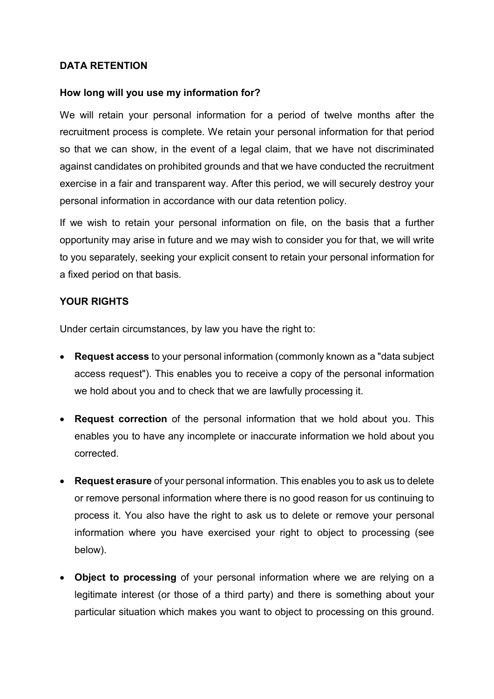## **DATA RETENTION**

#### **How long will you use my information for?**

We will retain your personal information for a period of twelve months after the recruitment process is complete. We retain your personal information for that period so that we can show, in the event of a legal claim, that we have not discriminated against candidates on prohibited grounds and that we have conducted the recruitment exercise in a fair and transparent way. After this period, we will securely destroy your personal information in accordance with our data retention policy.

If we wish to retain your personal information on file, on the basis that a further opportunity may arise in future and we may wish to consider you for that, we will write to you separately, seeking your explicit consent to retain your personal information for a fixed period on that basis.

#### **YOUR RIGHTS**

Under certain circumstances, by law you have the right to:

- **Request access** to your personal information (commonly known as a "data subject access request"). This enables you to receive a copy of the personal information we hold about you and to check that we are lawfully processing it.
- **Request correction** of the personal information that we hold about you. This enables you to have any incomplete or inaccurate information we hold about you corrected.
- **Request erasure** of your personal information. This enables you to ask us to delete or remove personal information where there is no good reason for us continuing to process it. You also have the right to ask us to delete or remove your personal information where you have exercised your right to object to processing (see below).
- **Object to processing** of your personal information where we are relying on a legitimate interest (or those of a third party) and there is something about your particular situation which makes you want to object to processing on this ground.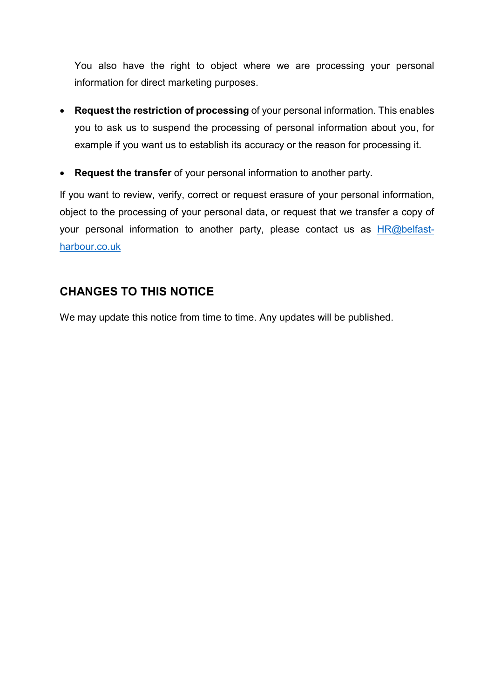You also have the right to object where we are processing your personal information for direct marketing purposes.

- **Request the restriction of processing** of your personal information. This enables you to ask us to suspend the processing of personal information about you, for example if you want us to establish its accuracy or the reason for processing it.
- **Request the transfer** of your personal information to another party.

If you want to review, verify, correct or request erasure of your personal information, object to the processing of your personal data, or request that we transfer a copy of your personal information to another party, please contact us as **HR@belfast**harbour.co.uk

## **CHANGES TO THIS NOTICE**

We may update this notice from time to time. Any updates will be published.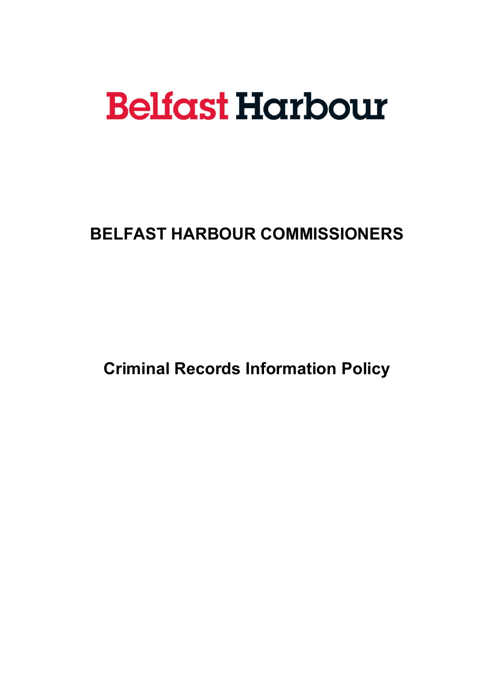# **Belfast Harbour**

**BELFAST HARBOUR COMMISSIONERS**

**Criminal Records Information Policy**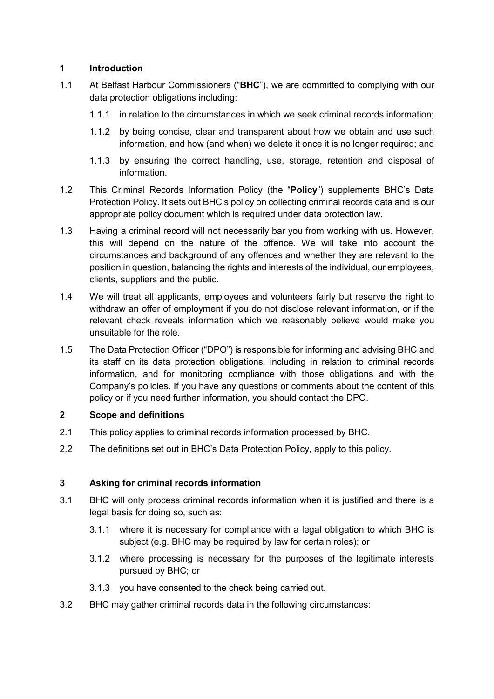## **1 Introduction**

- 1.1 At Belfast Harbour Commissioners ("**BHC**"), we are committed to complying with our data protection obligations including:
	- 1.1.1 in relation to the circumstances in which we seek criminal records information;
	- 1.1.2 by being concise, clear and transparent about how we obtain and use such information, and how (and when) we delete it once it is no longer required; and
	- 1.1.3 by ensuring the correct handling, use, storage, retention and disposal of information.
- 1.2 This Criminal Records Information Policy (the "**Policy**") supplements BHC's Data Protection Policy. It sets out BHC's policy on collecting criminal records data and is our appropriate policy document which is required under data protection law.
- 1.3 Having a criminal record will not necessarily bar you from working with us. However, this will depend on the nature of the offence. We will take into account the circumstances and background of any offences and whether they are relevant to the position in question, balancing the rights and interests of the individual, our employees, clients, suppliers and the public.
- 1.4 We will treat all applicants, employees and volunteers fairly but reserve the right to withdraw an offer of employment if you do not disclose relevant information, or if the relevant check reveals information which we reasonably believe would make you unsuitable for the role.
- 1.5 The Data Protection Officer ("DPO") is responsible for informing and advising BHC and its staff on its data protection obligations, including in relation to criminal records information, and for monitoring compliance with those obligations and with the Company's policies. If you have any questions or comments about the content of this policy or if you need further information, you should contact the DPO.

## **2 Scope and definitions**

- 2.1 This policy applies to criminal records information processed by BHC.
- 2.2 The definitions set out in BHC's Data Protection Policy, apply to this policy.

#### **3 Asking for criminal records information**

- 3.1 BHC will only process criminal records information when it is justified and there is a legal basis for doing so, such as:
	- 3.1.1 where it is necessary for compliance with a legal obligation to which BHC is subject (e.g. BHC may be required by law for certain roles); or
	- 3.1.2 where processing is necessary for the purposes of the legitimate interests pursued by BHC; or
	- 3.1.3 you have consented to the check being carried out.
- 3.2 BHC may gather criminal records data in the following circumstances: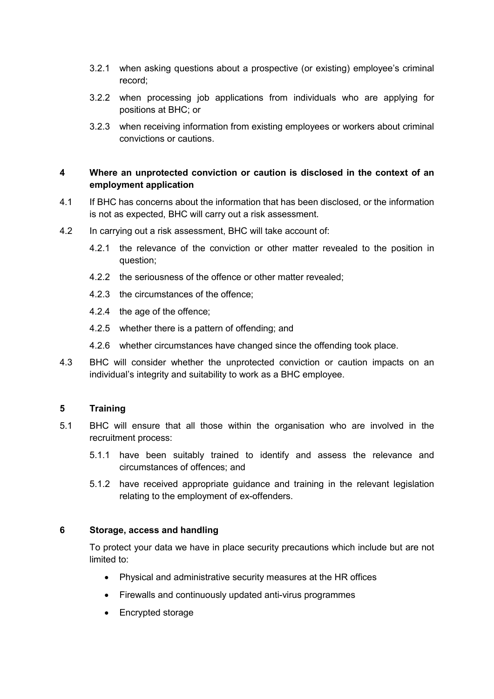- 3.2.1 when asking questions about a prospective (or existing) employee's criminal record;
- 3.2.2 when processing job applications from individuals who are applying for positions at BHC; or
- 3.2.3 when receiving information from existing employees or workers about criminal convictions or cautions.

#### **4 Where an unprotected conviction or caution is disclosed in the context of an employment application**

- 4.1 If BHC has concerns about the information that has been disclosed, or the information is not as expected, BHC will carry out a risk assessment.
- 4.2 In carrying out a risk assessment, BHC will take account of:
	- 4.2.1 the relevance of the conviction or other matter revealed to the position in question;
	- 4.2.2 the seriousness of the offence or other matter revealed;
	- 4.2.3 the circumstances of the offence;
	- 4.2.4 the age of the offence;
	- 4.2.5 whether there is a pattern of offending; and
	- 4.2.6 whether circumstances have changed since the offending took place.
- 4.3 BHC will consider whether the unprotected conviction or caution impacts on an individual's integrity and suitability to work as a BHC employee.

#### **5 Training**

- 5.1 BHC will ensure that all those within the organisation who are involved in the recruitment process:
	- 5.1.1 have been suitably trained to identify and assess the relevance and circumstances of offences; and
	- 5.1.2 have received appropriate guidance and training in the relevant legislation relating to the employment of ex-offenders.

#### **6 Storage, access and handling**

To protect your data we have in place security precautions which include but are not limited to:

- Physical and administrative security measures at the HR offices
- Firewalls and continuously updated anti-virus programmes
- Encrypted storage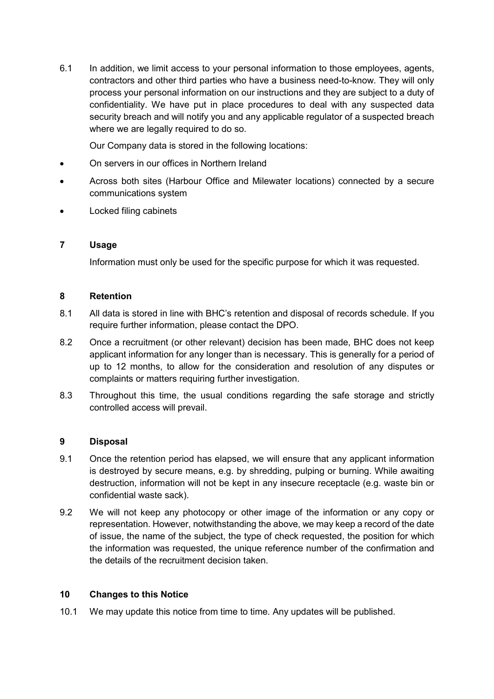6.1 In addition, we limit access to your personal information to those employees, agents, contractors and other third parties who have a business need-to-know. They will only process your personal information on our instructions and they are subject to a duty of confidentiality. We have put in place procedures to deal with any suspected data security breach and will notify you and any applicable regulator of a suspected breach where we are legally required to do so.

Our Company data is stored in the following locations:

- On servers in our offices in Northern Ireland
- Across both sites (Harbour Office and Milewater locations) connected by a secure communications system
- Locked filing cabinets

#### **7 Usage**

Information must only be used for the specific purpose for which it was requested.

#### **8 Retention**

- 8.1 All data is stored in line with BHC's retention and disposal of records schedule. If you require further information, please contact the DPO.
- 8.2 Once a recruitment (or other relevant) decision has been made, BHC does not keep applicant information for any longer than is necessary. This is generally for a period of up to 12 months, to allow for the consideration and resolution of any disputes or complaints or matters requiring further investigation.
- 8.3 Throughout this time, the usual conditions regarding the safe storage and strictly controlled access will prevail.

#### **9 Disposal**

- 9.1 Once the retention period has elapsed, we will ensure that any applicant information is destroyed by secure means, e.g. by shredding, pulping or burning. While awaiting destruction, information will not be kept in any insecure receptacle (e.g. waste bin or confidential waste sack).
- 9.2 We will not keep any photocopy or other image of the information or any copy or representation. However, notwithstanding the above, we may keep a record of the date of issue, the name of the subject, the type of check requested, the position for which the information was requested, the unique reference number of the confirmation and the details of the recruitment decision taken.

#### **10 Changes to this Notice**

10.1 We may update this notice from time to time. Any updates will be published.